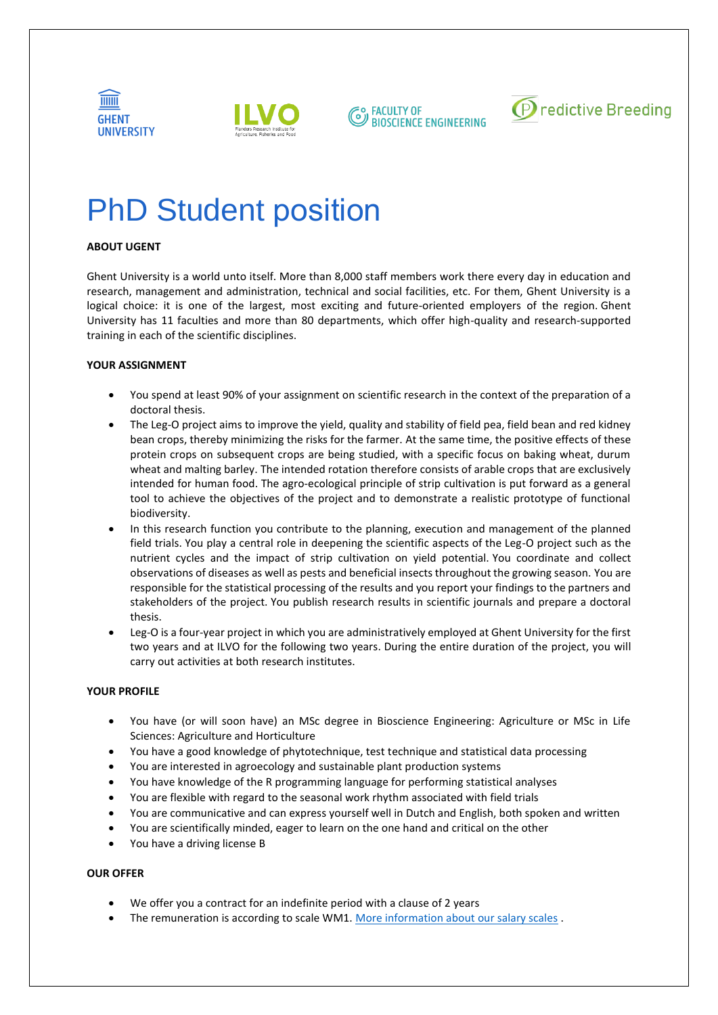



**Q. FACULTY OF BIOSCIENCE ENGINEERING** 



# PhD Student position

## **ABOUT UGENT**

Ghent University is a world unto itself. More than 8,000 staff members work there every day in education and research, management and administration, technical and social facilities, etc. For them, Ghent University is a logical choice: it is one of the largest, most exciting and future-oriented employers of the region. Ghent University has 11 faculties and more than 80 departments, which offer high-quality and research-supported training in each of the scientific disciplines.

### **YOUR ASSIGNMENT**

- You spend at least 90% of your assignment on scientific research in the context of the preparation of a doctoral thesis.
- The Leg-O project aims to improve the yield, quality and stability of field pea, field bean and red kidney bean crops, thereby minimizing the risks for the farmer. At the same time, the positive effects of these protein crops on subsequent crops are being studied, with a specific focus on baking wheat, durum wheat and malting barley. The intended rotation therefore consists of arable crops that are exclusively intended for human food. The agro-ecological principle of strip cultivation is put forward as a general tool to achieve the objectives of the project and to demonstrate a realistic prototype of functional biodiversity.
- In this research function you contribute to the planning, execution and management of the planned field trials. You play a central role in deepening the scientific aspects of the Leg-O project such as the nutrient cycles and the impact of strip cultivation on yield potential. You coordinate and collect observations of diseases as well as pests and beneficial insects throughout the growing season. You are responsible for the statistical processing of the results and you report your findings to the partners and stakeholders of the project. You publish research results in scientific journals and prepare a doctoral thesis.
- Leg-O is a four-year project in which you are administratively employed at Ghent University for the first two years and at ILVO for the following two years. During the entire duration of the project, you will carry out activities at both research institutes.

#### **YOUR PROFILE**

- You have (or will soon have) an MSc degree in Bioscience Engineering: Agriculture or MSc in Life Sciences: Agriculture and Horticulture
- You have a good knowledge of phytotechnique, test technique and statistical data processing
- You are interested in agroecology and sustainable plant production systems
- You have knowledge of the R programming language for performing statistical analyses
- You are flexible with regard to the seasonal work rhythm associated with field trials
- You are communicative and can express yourself well in Dutch and English, both spoken and written
- You are scientifically minded, eager to learn on the one hand and critical on the other
- You have a driving license B

#### **OUR OFFER**

- We offer you a contract for an indefinite period with a clause of 2 years
- The remuneration is according to scale WM1. [More information about our salary scales](https://www.ugent.be/nl/vacatures/categorieen/salarisschalen/wpwm2.htm).